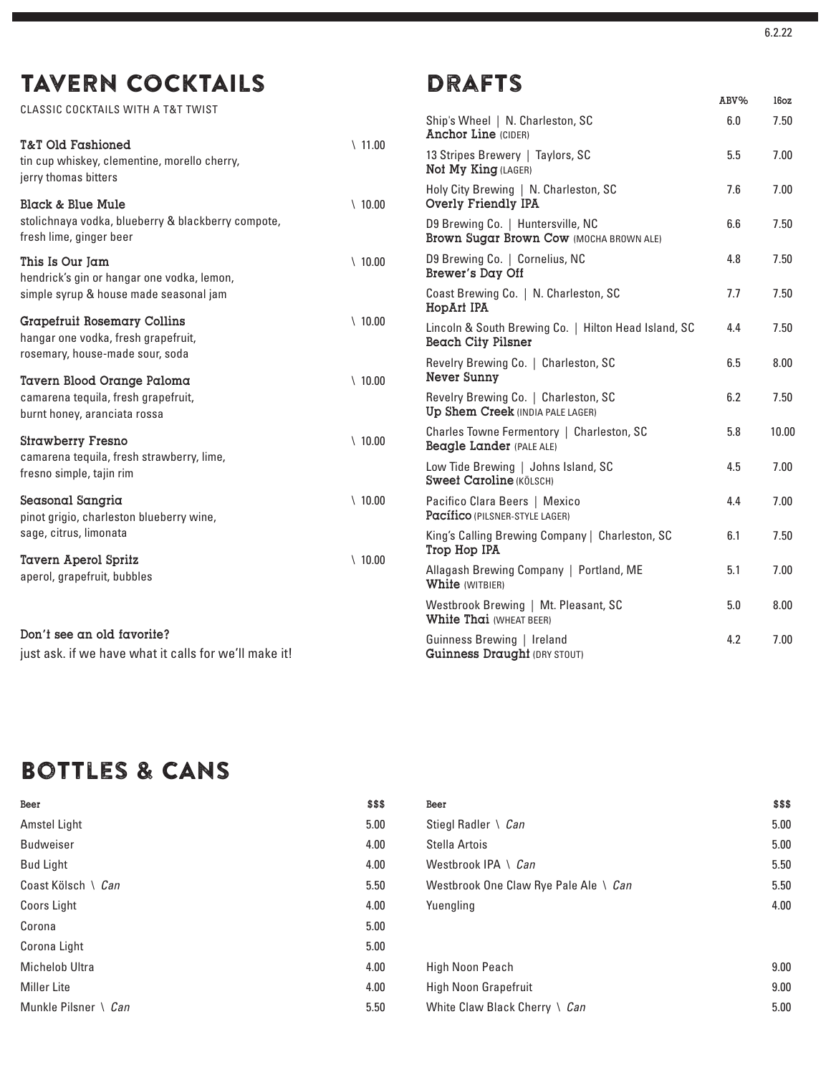# TAVERN COCKTAILS

CLASSIC COCKTAILS WITH A T&T TWIST

| <b>T&amp;T Old Fashioned</b>                                                        | $\backslash$ 11.00 | <b>AUCHOL TIME</b> (CIDER)                                                     |
|-------------------------------------------------------------------------------------|--------------------|--------------------------------------------------------------------------------|
| tin cup whiskey, clementine, morello cherry,<br>jerry thomas bitters                |                    | 13 Stripes Brewery   Taylors, SC<br>Not My King (LAGER)                        |
| Black & Blue Mule                                                                   | $\backslash$ 10.00 | Holy City Brewing   N. Charleston, SC<br>Overly Friendly IPA                   |
| stolichnaya vodka, blueberry & blackberry compote,<br>fresh lime, ginger beer       |                    | D9 Brewing Co.   Huntersville, NC<br>Brown Sugar Brown Cow (MOCHA BROWN ALE)   |
| This Is Our Jam<br>hendrick's gin or hangar one vodka, lemon,                       | $\setminus$ 10.00  | D9 Brewing Co.   Cornelius, NC<br>Brewer's Day Off                             |
| simple syrup & house made seasonal jam                                              |                    | Coast Brewing Co.   N. Charleston, SC<br>HopArt IPA                            |
| <b>Grapefruit Rosemary Collins</b><br>hangar one vodka, fresh grapefruit,           | $\backslash$ 10.00 | Lincoln & South Brewing Co.   Hilton Head Island,<br><b>Beach City Pilsner</b> |
| rosemary, house-made sour, soda<br>Tavern Blood Orange Paloma                       | $\backslash$ 10.00 | Revelry Brewing Co.   Charleston, SC<br>Never Sunny                            |
| camarena tequila, fresh grapefruit,<br>burnt honey, aranciata rossa                 |                    | Revelry Brewing Co.   Charleston, SC<br>Up Shem Creek (INDIA PALE LAGER)       |
| <b>Strawberry Fresno</b>                                                            | $\backslash$ 10.00 | Charles Towne Fermentory   Charleston, SC<br>Beagle Lander (PALE ALE)          |
| camarena tequila, fresh strawberry, lime,<br>fresno simple, tajin rim               |                    | Low Tide Brewing   Johns Island, SC<br><b>Sweet Caroline (KÖLSCH)</b>          |
| Seasonal Sangria<br>pinot grigio, charleston blueberry wine,                        | $\binom{10.00}{ }$ | Pacifico Clara Beers   Mexico<br>Pacífico (PILSNER-STYLE LAGER)                |
| sage, citrus, limonata                                                              |                    | King's Calling Brewing Company   Charleston, SC<br>Trop Hop IPA                |
| <b>Tavern Aperol Spritz</b><br>aperol, grapefruit, bubbles                          | $\backslash$ 10.00 | Allagash Brewing Company   Portland, ME<br>White (WITBIER)                     |
|                                                                                     |                    | Westbrook Brewing   Mt. Pleasant, SC<br><b>White Thai (WHEAT BEER)</b>         |
| Don't see an old favorite?<br>just ask. if we have what it calls for we'll make it! |                    | Guinness Brewing   Ireland<br>Guinness Draught (DRY STOUT)                     |

## Bottles & CANS

| Beer                   | \$\$\$ | Beer                                  | \$\$\$ |
|------------------------|--------|---------------------------------------|--------|
| Amstel Light           | 5.00   | Stiegl Radler \ Can                   | 5.00   |
| <b>Budweiser</b>       | 4.00   | Stella Artois                         | 5.00   |
| <b>Bud Light</b>       | 4.00   | Westbrook IPA \ $Can$                 | 5.50   |
| Coast Kölsch \ Can     | 5.50   | Westbrook One Claw Rye Pale Ale \ Can | 5.50   |
| Coors Light            | 4.00   | Yuengling                             | 4.00   |
| Corona                 | 5.00   |                                       |        |
| Corona Light           | 5.00   |                                       |        |
| Michelob Ultra         | 4.00   | High Noon Peach                       | 9.00   |
| <b>Miller Lite</b>     | 4.00   | <b>High Noon Grapefruit</b>           | 9.00   |
| Munkle Pilsner \ $Can$ | 5.50   | White Claw Black Cherry \ Can         | 5.00   |

ABV% 16oz

# **DRAFTS**

| 00             | Ship's Wheel   N. Charleston, SC<br><b>Anchor Line (CIDER)</b>               | 6.0 | 7.50  |
|----------------|------------------------------------------------------------------------------|-----|-------|
|                | 13 Stripes Brewery   Taylors, SC<br>Not My King (LAGER)                      | 5.5 | 7.00  |
| 00             | Holy City Brewing   N. Charleston, SC<br>Overly Friendly IPA                 | 7.6 | 7.00  |
|                | D9 Brewing Co.   Huntersville, NC<br>Brown Sugar Brown Cow (MOCHA BROWN ALE) | 6.6 | 7.50  |
| 0              | D9 Brewing Co.   Cornelius, NC<br>Brewer's Day Off                           | 4.8 | 7.50  |
|                | Coast Brewing Co.   N. Charleston, SC<br>HopArt IPA                          | 7.7 | 7.50  |
| 00             | Lincoln & South Brewing Co.   Hilton Head Island, SC<br>Beach City Pilsner   | 4.4 | 7.50  |
| 0              | Revelry Brewing Co.   Charleston, SC<br>Never Sunny                          | 6.5 | 8.00  |
|                | Revelry Brewing Co.   Charleston, SC<br>Up Shem Creek (INDIA PALE LAGER)     | 6.2 | 7.50  |
| $\overline{0}$ | Charles Towne Fermentory   Charleston, SC<br>Beagle Lander (PALE ALE)        | 5.8 | 10.00 |
|                | Low Tide Brewing   Johns Island, SC<br><b>Sweet Caroline (KÖLSCH)</b>        | 4.5 | 7.00  |
| 0              | Pacifico Clara Beers   Mexico<br>Pacífico (PILSNER-STYLE LAGER)              | 4.4 | 7.00  |
|                | King's Calling Brewing Company   Charleston, SC<br>Trop Hop IPA              | 6.1 | 7.50  |
| $\overline{0}$ | Allagash Brewing Company   Portland, ME<br>White (WITBIER)                   | 5.1 | 7.00  |
|                | Westbrook Brewing   Mt. Pleasant, SC<br>White Thai (WHEAT BEER)              | 5.0 | 8.00  |
|                | Guinness Brewing   Ireland<br>Guinness Draught (DRY STOUT)                   | 4.2 | 7.00  |
|                |                                                                              |     |       |